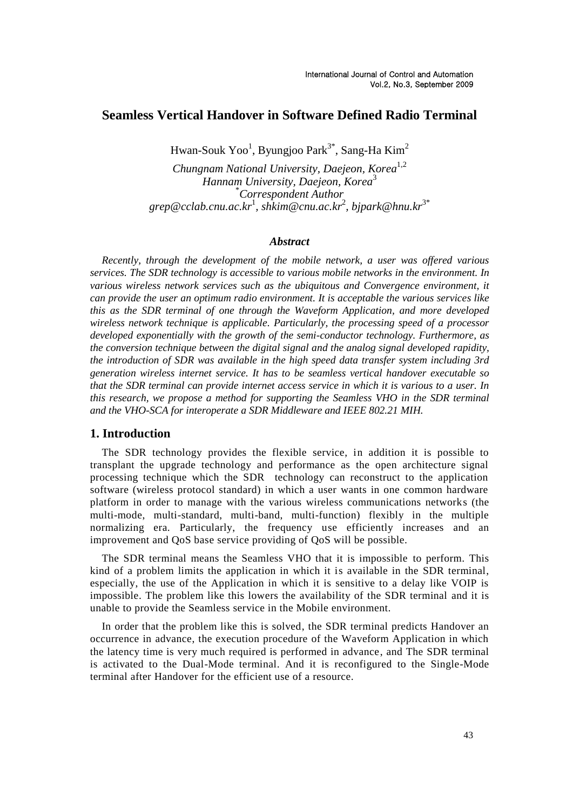# **Seamless Vertical Handover in Software Defined Radio Terminal**

Hwan-Souk Yoo $^1$ , Byungjoo Park $^{3^\ast}$ , Sang-Ha Kim $^2$ 

*Chungnam National University, Daejeon, Korea*1,2 *Hannam University, Daejeon, Korea*<sup>3</sup> \**Correspondent Author grep@cclab.cnu.ac.kr*<sup>1</sup> *, shkim@cnu.ac.kr*<sup>2</sup> *, bjpark@hnu.kr*3\*

### *Abstract*

*Recently, through the development of the mobile network, a user was offered various services. The SDR technology is accessible to various mobile networks in the environment. In various wireless network services such as the ubiquitous and Convergence environment, it can provide the user an optimum radio environment. It is acceptable the various services like this as the SDR terminal of one through the Waveform Application, and more developed wireless network technique is applicable. Particularly, the processing speed of a processor developed exponentially with the growth of the semi-conductor technology. Furthermore, as the conversion technique between the digital signal and the analog signal developed rapidity, the introduction of SDR was available in the high speed data transfer system including 3rd generation wireless internet service. It has to be seamless vertical handover executable so that the SDR terminal can provide internet access service in which it is various to a user. In this research, we propose a method for supporting the Seamless VHO in the SDR terminal and the VHO-SCA for interoperate a SDR Middleware and IEEE 802.21 MIH.*

#### **1. Introduction**

The SDR technology provides the flexible service, in addition it is possible to transplant the upgrade technology and performance as the open architecture signal processing technique which the SDR technology can reconstruct to the application software (wireless protocol standard) in which a user wants in one common hardware platform in order to manage with the various wireless communications networks (the multi-mode, multi-standard, multi-band, multi-function) flexibly in the multiple normalizing era. Particularly, the frequency use efficiently increases and an improvement and QoS base service providing of QoS will be possible.

The SDR terminal means the Seamless VHO that it is impossible to perform. This kind of a problem limits the application in which it is available in the SDR terminal, especially, the use of the Application in which it is sensitive to a delay like VOIP is impossible. The problem like this lowers the availability of the SDR terminal and it is unable to provide the Seamless service in the Mobile environment.

In order that the problem like this is solved, the SDR terminal predicts Handover an occurrence in advance, the execution procedure of the Waveform Application in which the latency time is very much required is performed in advance, and The SDR terminal is activated to the Dual-Mode terminal. And it is reconfigured to the Single-Mode terminal after Handover for the efficient use of a resource.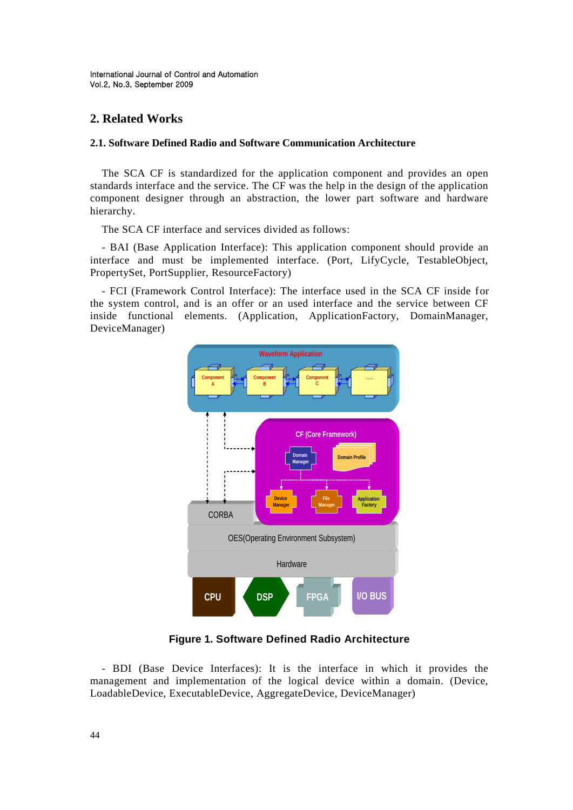# **2. Related Works**

### **2.1. Software Defined Radio and Software Communication Architecture**

The SCA CF is standardized for the application component and provides an open standards interface and the service. The CF was the help in the design of the application component designer through an abstraction, the lower part software and hardware hierarchy.

The SCA CF interface and services divided as follows:

- BAI (Base Application Interface): This application component should provide an interface and must be implemented interface. (Port, LifyCycle, TestableObject, PropertySet, PortSupplier, ResourceFactory)

- FCI (Framework Control Interface): The interface used in the SCA CF inside for the system control, and is an offer or an used interface and the service between CF inside functional elements. (Application, ApplicationFactory, DomainManager, DeviceManager)



**Figure 1. Software Defined Radio Architecture**

- BDI (Base Device Interfaces): It is the interface in which it provides the management and implementation of the logical device within a domain. (Device, LoadableDevice, ExecutableDevice, AggregateDevice, DeviceManager)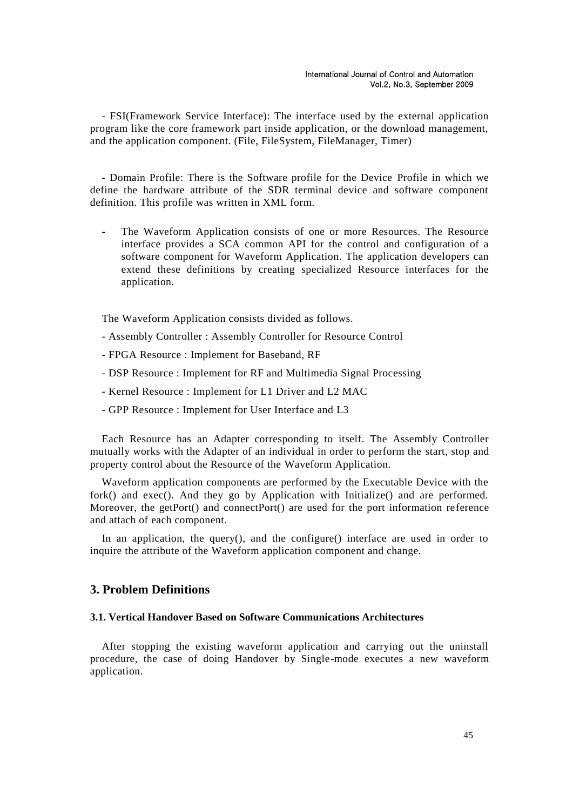- FSI(Framework Service Interface): The interface used by the external application program like the core framework part inside application, or the download management, and the application component. (File, FileSystem, FileManager, Timer)

- Domain Profile: There is the Software profile for the Device Profile in which we define the hardware attribute of the SDR terminal device and software component definition. This profile was written in XML form.

The Waveform Application consists of one or more Resources. The Resource interface provides a SCA common API for the control and configuration of a software component for Waveform Application. The application developers can extend these definitions by creating specialized Resource interfaces for the application.

The Waveform Application consists divided as follows.

- Assembly Controller : Assembly Controller for Resource Control
- FPGA Resource : Implement for Baseband, RF
- DSP Resource : Implement for RF and Multimedia Signal Processing
- Kernel Resource : Implement for L1 Driver and L2 MAC
- GPP Resource : Implement for User Interface and L3

Each Resource has an Adapter corresponding to itself. The Assembly Controller mutually works with the Adapter of an individual in order to perform the start, stop and property control about the Resource of the Waveform Application.

Waveform application components are performed by the Executable Device with the fork() and exec(). And they go by Application with Initialize() and are performed. Moreover, the getPort() and connectPort() are used for the port information reference and attach of each component.

In an application, the query(), and the configure() interface are used in order to inquire the attribute of the Waveform application component and change.

### **3. Problem Definitions**

#### **3.1. Vertical Handover Based on Software Communications Architectures**

After stopping the existing waveform application and carrying out the uninstall procedure, the case of doing Handover by Single-mode executes a new waveform application.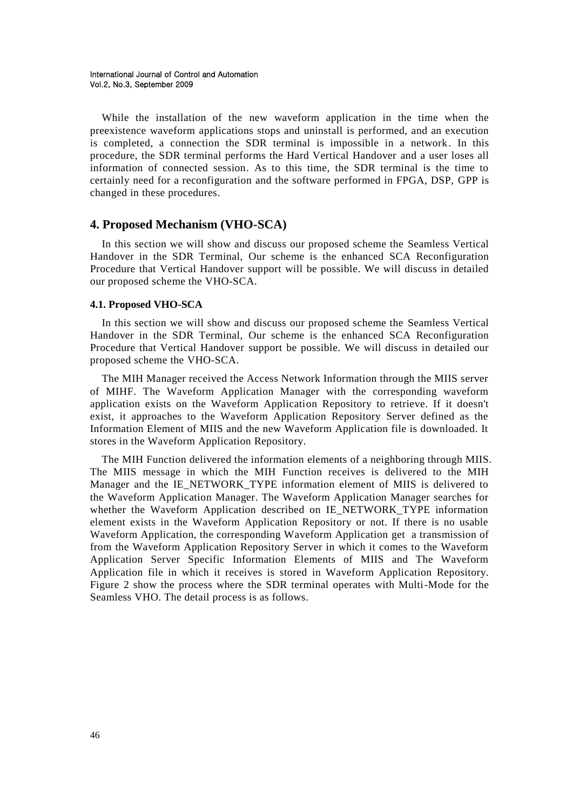While the installation of the new waveform application in the time when the preexistence waveform applications stops and uninstall is performed, and an execution is completed, a connection the SDR terminal is impossible in a network. In this procedure, the SDR terminal performs the Hard Vertical Handover and a user loses all information of connected session. As to this time, the SDR terminal is the time to certainly need for a reconfiguration and the software performed in FPGA, DSP, GPP is changed in these procedures.

## **4. Proposed Mechanism (VHO-SCA)**

In this section we will show and discuss our proposed scheme the Seamless Vertical Handover in the SDR Terminal, Our scheme is the enhanced SCA Reconfiguration Procedure that Vertical Handover support will be possible. We will discuss in detailed our proposed scheme the VHO-SCA.

#### **4.1. Proposed VHO-SCA**

In this section we will show and discuss our proposed scheme the Seamless Vertical Handover in the SDR Terminal, Our scheme is the enhanced SCA Reconfiguration Procedure that Vertical Handover support be possible. We will discuss in detailed our proposed scheme the VHO-SCA.

The MIH Manager received the Access Network Information through the MIIS server of MIHF. The Waveform Application Manager with the corresponding waveform application exists on the Waveform Application Repository to retrieve. If it doesn't exist, it approaches to the Waveform Application Repository Server defined as the Information Element of MIIS and the new Waveform Application file is downloaded. It stores in the Waveform Application Repository.

The MIH Function delivered the information elements of a neighboring through MIIS. The MIIS message in which the MIH Function receives is delivered to the MIH Manager and the IE\_NETWORK\_TYPE information element of MIIS is delivered to the Waveform Application Manager. The Waveform Application Manager searches for whether the Waveform Application described on IE\_NETWORK\_TYPE information element exists in the Waveform Application Repository or not. If there is no usable Waveform Application, the corresponding Waveform Application get a transmission of from the Waveform Application Repository Server in which it comes to the Waveform Application Server Specific Information Elements of MIIS and The Waveform Application file in which it receives is stored in Waveform Application Repository. Figure 2 show the process where the SDR terminal operates with Multi-Mode for the Seamless VHO. The detail process is as follows.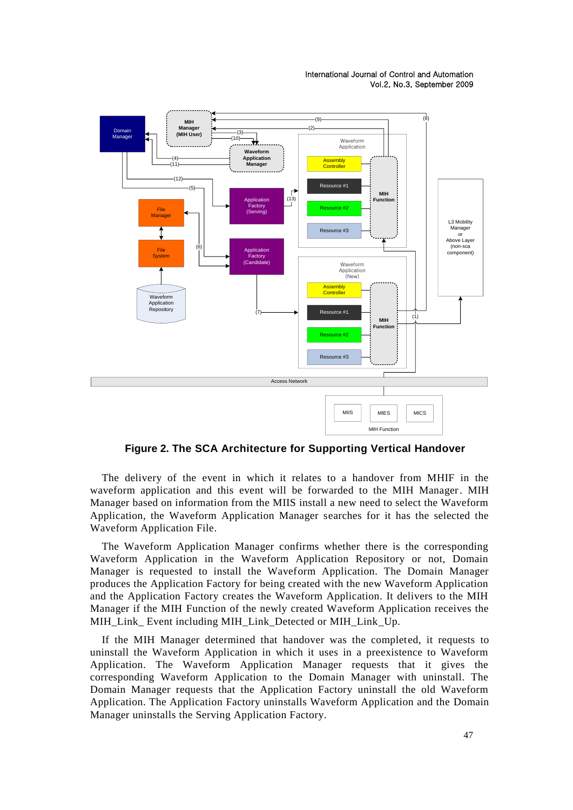International Journal of Control and Automation Vol.2, No.3, September 2009



**Figure 2. The SCA Architecture for Supporting Vertical Handover**

The delivery of the event in which it relates to a handover from MHIF in the waveform application and this event will be forwarded to the MIH Manager. MIH Manager based on information from the MIIS install a new need to select the Waveform Application, the Waveform Application Manager searches for it has the selected the Waveform Application File.

The Waveform Application Manager confirms whether there is the corresponding Waveform Application in the Waveform Application Repository or not, Domain Manager is requested to install the Waveform Application. The Domain Manager produces the Application Factory for being created with the new Waveform Application and the Application Factory creates the Waveform Application. It delivers to the MIH Manager if the MIH Function of the newly created Waveform Application receives the MIH\_Link\_ Event including MIH\_Link\_Detected or MIH\_Link\_Up.

If the MIH Manager determined that handover was the completed, it requests to uninstall the Waveform Application in which it uses in a preexistence to Waveform Application. The Waveform Application Manager requests that it gives the corresponding Waveform Application to the Domain Manager with uninstall. The Domain Manager requests that the Application Factory uninstall the old Waveform Application. The Application Factory uninstalls Waveform Application and the Domain Manager uninstalls the Serving Application Factory.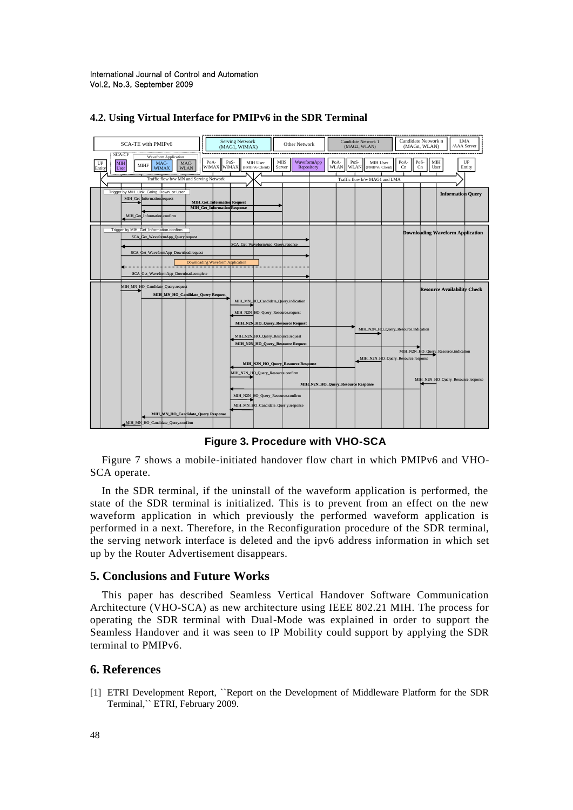International Journal of Control and Automation Vol.2, No.3, September 2009



#### **4.2. Using Virtual Interface for PMIPv6 in the SDR Terminal**

**Figure 3. Procedure with VHO-SCA**

Figure 7 shows a mobile-initiated handover flow chart in which PMIPv6 and VHO-SCA operate.

In the SDR terminal, if the uninstall of the waveform application is performed, the state of the SDR terminal is initialized. This is to prevent from an effect on the new waveform application in which previously the performed waveform application is performed in a next. Therefore, in the Reconfiguration procedure of the SDR terminal, the serving network interface is deleted and the ipv6 address information in which set up by the Router Advertisement disappears.

### **5. Conclusions and Future Works**

This paper has described Seamless Vertical Handover Software Communication Architecture (VHO-SCA) as new architecture using IEEE 802.21 MIH. The process for operating the SDR terminal with Dual-Mode was explained in order to support the Seamless Handover and it was seen to IP Mobility could support by applying the SDR terminal to PMIPv6.

## **6. References**

[1] ETRI Development Report, ``Report on the Development of Middleware Platform for the SDR Terminal,`` ETRI, February 2009.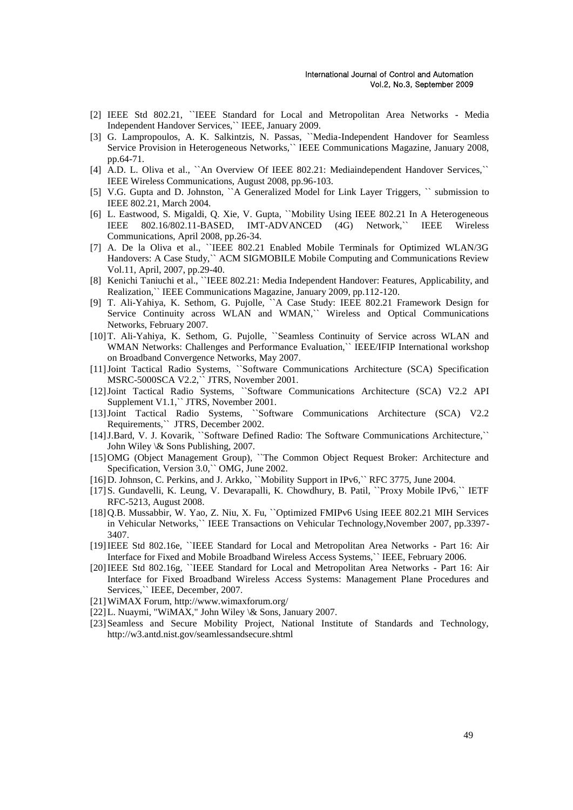- [2] IEEE Std 802.21, ``IEEE Standard for Local and Metropolitan Area Networks Media Independent Handover Services,`` IEEE, January 2009.
- [3] G. Lampropoulos, A. K. Salkintzis, N. Passas, ``Media-Independent Handover for Seamless Service Provision in Heterogeneous Networks,`` IEEE Communications Magazine, January 2008, pp.64-71.
- [4] A.D. L. Oliva et al., ``An Overview Of IEEE 802.21: Mediaindependent Handover Services,`` IEEE Wireless Communications, August 2008, pp.96-103.
- [5] V.G. Gupta and D. Johnston, ``A Generalized Model for Link Layer Triggers, `` submission to IEEE 802.21, March 2004.
- [6] L. Eastwood, S. Migaldi, Q. Xie, V. Gupta, ``Mobility Using IEEE 802.21 In A Heterogeneous IEEE 802.16/802.11-BASED, IMT-ADVANCED (4G) Network,`` IEEE Wireless Communications, April 2008, pp.26-34.
- [7] A. De la Oliva et al., ``IEEE 802.21 Enabled Mobile Terminals for Optimized WLAN/3G Handovers: A Case Study," ACM SIGMOBILE Mobile Computing and Communications Review Vol.11, April, 2007, pp.29-40.
- [8] Kenichi Taniuchi et al., ``IEEE 802.21: Media Independent Handover: Features, Applicability, and Realization,`` IEEE Communications Magazine, January 2009, pp.112-120.
- [9] T. Ali-Yahiya, K. Sethom, G. Pujolle, ``A Case Study: IEEE 802.21 Framework Design for Service Continuity across WLAN and WMAN," Wireless and Optical Communications Networks, February 2007.
- [10]T. Ali-Yahiya, K. Sethom, G. Pujolle, ``Seamless Continuity of Service across WLAN and WMAN Networks: Challenges and Performance Evaluation," IEEE/IFIP International workshop on Broadband Convergence Networks, May 2007.
- [11]Joint Tactical Radio Systems, ``Software Communications Architecture (SCA) Specification MSRC-5000SCA V2.2,`` JTRS, November 2001.
- [12]Joint Tactical Radio Systems, ``Software Communications Architecture (SCA) V2.2 API Supplement V1.1,`` JTRS, November 2001.
- [13]Joint Tactical Radio Systems, ``Software Communications Architecture (SCA) V2.2 Requirements,`` JTRS, December 2002.
- [14]J.Bard, V. J. Kovarik, ``Software Defined Radio: The Software Communications Architecture,`` John Wiley \& Sons Publishing, 2007.
- [15]OMG (Object Management Group), "The Common Object Request Broker: Architecture and Specification, Version 3.0,`` OMG, June 2002.
- [16]D. Johnson, C. Perkins, and J. Arkko, ``Mobility Support in IPv6,`` RFC 3775, June 2004.
- [17]S. Gundavelli, K. Leung, V. Devarapalli, K. Chowdhury, B. Patil, ``Proxy Mobile IPv6,`` IETF RFC-5213, August 2008.
- [18]Q.B. Mussabbir, W. Yao, Z. Niu, X. Fu, ``Optimized FMIPv6 Using IEEE 802.21 MIH Services in Vehicular Networks,`` IEEE Transactions on Vehicular Technology,November 2007, pp.3397- 3407.
- [19]IEEE Std 802.16e, ``IEEE Standard for Local and Metropolitan Area Networks Part 16: Air Interface for Fixed and Mobile Broadband Wireless Access Systems,`` IEEE, February 2006.
- [20]IEEE Std 802.16g, ``IEEE Standard for Local and Metropolitan Area Networks Part 16: Air Interface for Fixed Broadband Wireless Access Systems: Management Plane Procedures and Services,`` IEEE, December, 2007.
- [21]WiMAX Forum, http://www.wimaxforum.org/
- [22]L. Nuaymi, "WiMAX," John Wiley \& Sons, January 2007.
- [23] Seamless and Secure Mobility Project, National Institute of Standards and Technology, http://w3.antd.nist.gov/seamlessandsecure.shtml